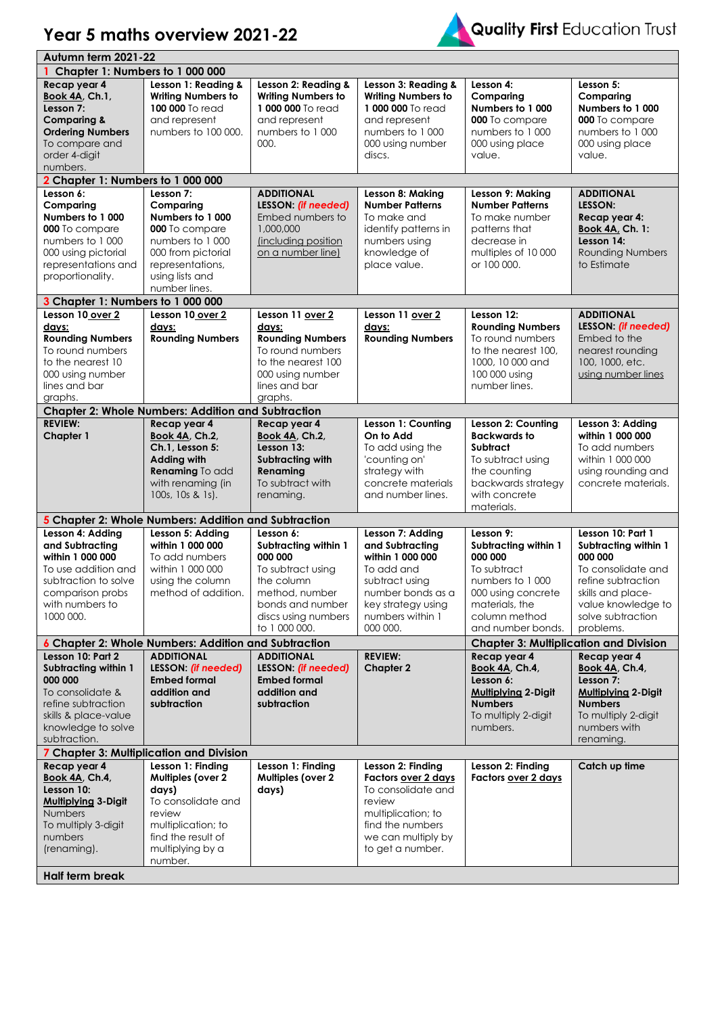

|                                                                                                                                                                     | Autumn term 2021-22                                                                                                                                               |                                                                                                                                                               |                                                                                                                                                                     |                                                                                                                                                               |                                                                                                                                                                               |  |
|---------------------------------------------------------------------------------------------------------------------------------------------------------------------|-------------------------------------------------------------------------------------------------------------------------------------------------------------------|---------------------------------------------------------------------------------------------------------------------------------------------------------------|---------------------------------------------------------------------------------------------------------------------------------------------------------------------|---------------------------------------------------------------------------------------------------------------------------------------------------------------|-------------------------------------------------------------------------------------------------------------------------------------------------------------------------------|--|
| Chapter 1: Numbers to 1 000 000                                                                                                                                     |                                                                                                                                                                   |                                                                                                                                                               |                                                                                                                                                                     |                                                                                                                                                               |                                                                                                                                                                               |  |
| Recap year 4<br>Book 4A, Ch.1,<br>Lesson 7:<br><b>Comparing &amp;</b><br><b>Ordering Numbers</b><br>To compare and<br>order 4-digit<br>numbers.                     | Lesson 1: Reading &<br><b>Writing Numbers to</b><br>100 000 To read<br>and represent<br>numbers to 100 000.                                                       | Lesson 2: Reading &<br><b>Writing Numbers to</b><br>1000 000 To read<br>and represent<br>numbers to 1 000<br>000.                                             | Lesson 3: Reading &<br><b>Writing Numbers to</b><br>1 000 000 To read<br>and represent<br>numbers to 1 000<br>000 using number<br>discs.                            | Lesson 4:<br>Comparing<br>Numbers to 1 000<br>000 To compare<br>numbers to 1000<br>000 using place<br>value.                                                  | Lesson 5:<br>Comparing<br>Numbers to 1 000<br>000 To compare<br>numbers to 1 000<br>000 using place<br>value.                                                                 |  |
| 2 Chapter 1: Numbers to 1 000 000                                                                                                                                   |                                                                                                                                                                   |                                                                                                                                                               |                                                                                                                                                                     |                                                                                                                                                               |                                                                                                                                                                               |  |
| Lesson 6:                                                                                                                                                           | Lesson 7:                                                                                                                                                         | <b>ADDITIONAL</b>                                                                                                                                             | Lesson 8: Making                                                                                                                                                    | Lesson 9: Making                                                                                                                                              | <b>ADDITIONAL</b>                                                                                                                                                             |  |
| Comparing<br>Numbers to 1 000<br>000 To compare<br>numbers to 1 000<br>000 using pictorial<br>representations and<br>proportionality.                               | Comparing<br>Numbers to 1000<br>000 To compare<br>numbers to 1 000<br>000 from pictorial<br>representations,<br>using lists and<br>number lines.                  | LESSON: (if needed)<br>Embed numbers to<br>1,000,000<br>(including position<br>on a number line)                                                              | <b>Number Patterns</b><br>To make and<br>identify patterns in<br>numbers using<br>knowledge of<br>place value.                                                      | <b>Number Patterns</b><br>To make number<br>patterns that<br>decrease in<br>multiples of 10 000<br>or 100 000.                                                | LESSON:<br>Recap year 4:<br><b>Book 4A, Ch. 1:</b><br>Lesson 14:<br><b>Rounding Numbers</b><br>to Estimate                                                                    |  |
| 3 Chapter 1: Numbers to 1 000 000                                                                                                                                   |                                                                                                                                                                   |                                                                                                                                                               |                                                                                                                                                                     |                                                                                                                                                               |                                                                                                                                                                               |  |
| Lesson 10 over 2<br>days:<br><b>Rounding Numbers</b><br>To round numbers<br>to the nearest 10<br>000 using number<br>lines and bar<br>graphs.                       | Lesson 10 over 2<br>days:<br><b>Rounding Numbers</b>                                                                                                              | Lesson 11 over 2<br>days:<br><b>Rounding Numbers</b><br>To round numbers<br>to the nearest 100<br>000 using number<br>lines and bar<br>graphs.                | Lesson 11 over 2<br>days:<br><b>Rounding Numbers</b>                                                                                                                | Lesson 12:<br><b>Rounding Numbers</b><br>To round numbers<br>to the nearest 100,<br>1000, 10 000 and<br>100 000 using<br>number lines.                        | <b>ADDITIONAL</b><br>LESSON: (if needed)<br>Embed to the<br>nearest rounding<br>100, 1000, etc.<br>using number lines                                                         |  |
|                                                                                                                                                                     | <b>Chapter 2: Whole Numbers: Addition and Subtraction</b>                                                                                                         |                                                                                                                                                               |                                                                                                                                                                     |                                                                                                                                                               |                                                                                                                                                                               |  |
| <b>REVIEW:</b><br><b>Chapter 1</b>                                                                                                                                  | Recap year 4<br>Book 4A, Ch.2,<br>Ch.1, Lesson 5:<br><b>Adding with</b><br>Renaming To add<br>with renaming (in<br>100s, 10s & 1s).                               | Recap year 4<br><b>Book 4A, Ch.2,</b><br>Lesson 13:<br>Subtracting with<br>Renaming<br>To subtract with<br>renaming.                                          | Lesson 1: Counting<br>On to Add<br>To add using the<br>'counting on'<br>strategy with<br>concrete materials<br>and number lines.                                    | Lesson 2: Counting<br><b>Backwards to</b><br><b>Subtract</b><br>To subtract using<br>the counting<br>backwards strategy<br>with concrete<br>materials.        | Lesson 3: Adding<br>within 1 000 000<br>To add numbers<br>within 1 000 000<br>using rounding and<br>concrete materials.                                                       |  |
|                                                                                                                                                                     | 5 Chapter 2: Whole Numbers: Addition and Subtraction                                                                                                              |                                                                                                                                                               |                                                                                                                                                                     |                                                                                                                                                               |                                                                                                                                                                               |  |
| Lesson 4: Adding<br>and Subtracting<br>within 1 000 000<br>To use addition and<br>subtraction to solve<br>comparison probs<br>with numbers to<br>1000 000.          | Lesson 5: Adding<br>within 1 000 000<br>To add numbers<br>within 1 000 000<br>using the column<br>method of addition.                                             | Lesson 6:<br>Subtracting within 1<br>000 000<br>To subtract using<br>the column<br>method, number<br>bonds and number<br>discs using numbers<br>to 1 000 000. | Lesson 7: Adding<br>and Subtracting<br>within 1 000 000<br>To add and<br>subtract using<br>number bonds as a<br>key strategy using<br>numbers within 1<br>000 000.  | Lesson 9:<br>Subtracting within 1<br>000 000<br>To subtract<br>numbers to 1 000<br>000 using concrete<br>materials, the<br>column method<br>and number bonds. | Lesson 10: Part 1<br>Subtracting within 1<br>000 000<br>To consolidate and<br>refine subtraction<br>skills and place-<br>value knowledge to<br>solve subtraction<br>problems. |  |
|                                                                                                                                                                     | 6 Chapter 2: Whole Numbers: Addition and Subtraction                                                                                                              |                                                                                                                                                               |                                                                                                                                                                     | <b>Chapter 3: Multiplication and Division</b>                                                                                                                 |                                                                                                                                                                               |  |
| Lesson 10: Part 2<br><b>Subtracting within 1</b><br>000 000<br>To consolidate &<br>refine subtraction<br>skills & place-value<br>knowledge to solve<br>subtraction. | <b>ADDITIONAL</b><br>LESSON: (if needed)<br><b>Embed formal</b><br>addition and<br>subtraction                                                                    | <b>ADDITIONAL</b><br>LESSON: (if needed)<br><b>Embed formal</b><br>addition and<br>subtraction                                                                | <b>REVIEW:</b><br><b>Chapter 2</b>                                                                                                                                  | Recap year 4<br><b>Book 4A, Ch.4,</b><br>Lesson 6:<br>Mulliplying 2-Digit<br><b>Numbers</b><br>To multiply 2-digit<br>numbers.                                | Recap year 4<br>Book 4A, Ch.4,<br>Lesson 7:<br><b>Multiplying 2-Digit</b><br><b>Numbers</b><br>To multiply 2-digit<br>numbers with<br>renaming.                               |  |
| 7 Chapter 3: Multiplication and Division                                                                                                                            |                                                                                                                                                                   |                                                                                                                                                               |                                                                                                                                                                     |                                                                                                                                                               |                                                                                                                                                                               |  |
| Recap year 4<br>Book 4A, Ch.4,<br>Lesson 10:<br><b>Multiplying 3-Digit</b><br><b>Numbers</b><br>To multiply 3-digit<br>numbers<br>(renaming).<br>Half term break    | Lesson 1: Finding<br><b>Multiples (over 2</b><br>days)<br>To consolidate and<br>review<br>multiplication; to<br>find the result of<br>multiplying by a<br>number. | Lesson 1: Finding<br><b>Multiples (over 2</b><br>days)                                                                                                        | Lesson 2: Finding<br><b>Factors over 2 days</b><br>To consolidate and<br>review<br>multiplication; to<br>find the numbers<br>we can multiply by<br>to get a number. | Lesson 2: Finding<br><b>Factors over 2 days</b>                                                                                                               | Catch up time                                                                                                                                                                 |  |

Year 5 maths overview 2021-22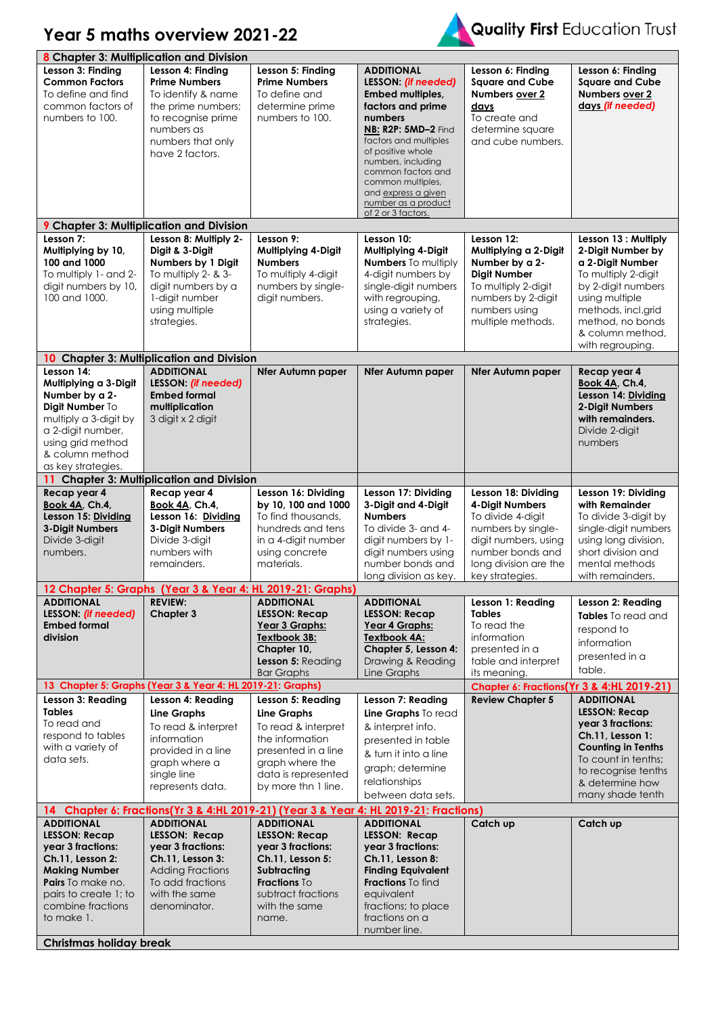## **Year 5 maths overview 2021-22**



| 8 Chapter 3: Multiplication and Division |                                                                                                            |                          |                                           |                                           |                                            |  |
|------------------------------------------|------------------------------------------------------------------------------------------------------------|--------------------------|-------------------------------------------|-------------------------------------------|--------------------------------------------|--|
| Lesson 3: Finding                        | Lesson 4: Finding                                                                                          | Lesson 5: Finding        | <b>ADDITIONAL</b>                         | Lesson 6: Finding                         | Lesson 6: Finding                          |  |
| <b>Common Factors</b>                    | <b>Prime Numbers</b>                                                                                       | <b>Prime Numbers</b>     | LESSON: (if needed)                       | <b>Sauare and Cube</b>                    | <b>Square and Cube</b>                     |  |
| To define and find                       | To identify & name                                                                                         | To define and            | Embed multiples,                          | Numbers over 2                            | Numbers over 2                             |  |
| common factors of                        | the prime numbers;                                                                                         | determine prime          | factors and prime                         | days                                      | days (if needed)                           |  |
| numbers to 100.                          | to recognise prime                                                                                         | numbers to 100.          | numbers                                   | To create and                             |                                            |  |
|                                          | numbers as                                                                                                 |                          | <b>NB: R2P: 5MD-2 Find</b>                | determine square                          |                                            |  |
|                                          | numbers that only                                                                                          |                          | factors and multiples                     | and cube numbers.                         |                                            |  |
|                                          | have 2 factors.                                                                                            |                          | of positive whole                         |                                           |                                            |  |
|                                          |                                                                                                            |                          | numbers, including                        |                                           |                                            |  |
|                                          |                                                                                                            |                          | common factors and<br>common multiples,   |                                           |                                            |  |
|                                          |                                                                                                            |                          | and express a given                       |                                           |                                            |  |
|                                          |                                                                                                            |                          | number as a product                       |                                           |                                            |  |
|                                          |                                                                                                            |                          | of 2 or 3 factors.                        |                                           |                                            |  |
|                                          | <b>9 Chapter 3: Multiplication and Division</b>                                                            |                          |                                           |                                           |                                            |  |
| Lesson 7:                                | Lesson 8: Multiply 2-                                                                                      | Lesson 9:                | Lesson 10:                                | Lesson 12:                                | Lesson 13 : Multiply                       |  |
| Multiplying by 10,                       | Digit & 3-Digit                                                                                            | Multiplying 4-Digit      | Multiplying 4-Digit                       | Multiplying a 2-Digit                     | 2-Digit Number by                          |  |
| 100 and 1000                             | Numbers by 1 Digit                                                                                         | <b>Numbers</b>           | <b>Numbers</b> To multiply                | Number by a 2-                            | a 2-Digit Number                           |  |
| To multiply 1- and 2-                    | To multiply 2- & 3-                                                                                        | To multiply 4-digit      | 4-digit numbers by                        | <b>Digit Number</b>                       | To multiply 2-digit                        |  |
| digit numbers by 10,                     | digit numbers by a                                                                                         | numbers by single-       | single-digit numbers                      | To multiply 2-digit                       | by 2-digit numbers                         |  |
| 100 and 1000.                            | 1-digit number                                                                                             | digit numbers.           | with regrouping,                          | numbers by 2-digit                        | using multiple                             |  |
|                                          | using multiple                                                                                             |                          | using a variety of                        | numbers using                             | methods, incl.grid                         |  |
|                                          | strategies.                                                                                                |                          | strategies.                               | multiple methods.                         | method, no bonds                           |  |
|                                          |                                                                                                            |                          |                                           |                                           | & column method.                           |  |
|                                          |                                                                                                            |                          |                                           |                                           | with regrouping.                           |  |
|                                          | 10 Chapter 3: Multiplication and Division                                                                  |                          |                                           |                                           |                                            |  |
| Lesson 14:                               | <b>ADDITIONAL</b><br>LESSON: (if needed)                                                                   | <b>Nfer Autumn paper</b> | Nfer Autumn paper                         | <b>Nfer Autumn paper</b>                  | Recap year 4                               |  |
| Multiplying a 3-Digit                    |                                                                                                            |                          |                                           |                                           | Book 4A, Ch.4,                             |  |
| Number by a 2-                           | <b>Embed formal</b>                                                                                        |                          |                                           |                                           | Lesson 14: Dividing                        |  |
| Digit Number To<br>multiply a 3-digit by | multiplication<br>3 digit x 2 digit                                                                        |                          |                                           |                                           | 2-Digit Numbers<br>with remainders.        |  |
| a 2-digit number,                        |                                                                                                            |                          |                                           |                                           | Divide 2-digit                             |  |
| using grid method                        |                                                                                                            |                          |                                           |                                           | numbers                                    |  |
| & column method                          |                                                                                                            |                          |                                           |                                           |                                            |  |
| as key strategies.                       |                                                                                                            |                          |                                           |                                           |                                            |  |
| 11.                                      | <b>Chapter 3: Multiplication and Division</b>                                                              |                          |                                           |                                           |                                            |  |
| Recap year 4                             | Recap year 4                                                                                               | Lesson 16: Dividing      | Lesson 17: Dividing                       | Lesson 18: Dividing                       | Lesson 19: Dividing                        |  |
| Book 4A, Ch.4,                           | Book 4A, Ch.4,                                                                                             | by 10, 100 and 1000      | 3-Digit and 4-Digit                       | 4-Digit Numbers                           | with Remainder                             |  |
| Lesson 15: Dividing                      | Lesson 16: Dividing                                                                                        | To find thousands,       | <b>Numbers</b>                            | To divide 4-digit                         | To divide 3-digit by                       |  |
| 3-Digit Numbers                          | 3-Digit Numbers                                                                                            | hundreds and tens        | To divide 3- and 4-                       | numbers by single-                        | single-digit numbers                       |  |
| Divide 3-digit                           | Divide 3-digit                                                                                             | in a 4-digit number      | digit numbers by 1-                       | digit numbers, using                      | using long division,                       |  |
| numbers.                                 | numbers with                                                                                               | using concrete           | digit numbers using                       | number bonds and                          | short division and                         |  |
|                                          | remainders.                                                                                                | materials.               | number bonds and                          | long division are the                     | mental methods                             |  |
|                                          |                                                                                                            |                          | long division as key.                     | key strategies.                           | with remainders.                           |  |
|                                          | 12 Chapter 5: Graphs (Year 3 & Year 4: HL 2019-21: Graphs)                                                 |                          |                                           |                                           |                                            |  |
| <b>ADDITIONAL</b>                        | <b>REVIEW:</b>                                                                                             | <b>ADDITIONAL</b>        | <b>ADDITIONAL</b>                         | Lesson 1: Reading                         | Lesson 2: Reading                          |  |
| LESSON: (if needed)                      | Chapter 3                                                                                                  | <b>LESSON: Recap</b>     | <b>LESSON: Recap</b>                      | <b>Tables</b>                             | Tables To read and                         |  |
| <b>Embed formal</b>                      |                                                                                                            | Year 3 Graphs:           | Year 4 Graphs:                            | To read the                               | respond to                                 |  |
| division                                 |                                                                                                            | Textbook 3B:             | Textbook 4A:                              | information                               | information                                |  |
|                                          |                                                                                                            | Chapter 10,              | Chapter 5, Lesson 4:                      | presented in a                            | presented in a                             |  |
|                                          |                                                                                                            | Lesson 5: Reading        | Drawing & Reading                         | table and interpret                       | table.                                     |  |
|                                          |                                                                                                            | <b>Bar Graphs</b>        | Line Graphs                               | its meaning.                              |                                            |  |
|                                          | 13 Chapter 5: Graphs (Year 3 & Year 4: HL 2019-21: Graphs)                                                 |                          |                                           | Chapter 6: Fractions(Yr 3 & 4:HL 2019-21) |                                            |  |
| Lesson 3: Reading                        | Lesson 4: Reading                                                                                          | Lesson 5: Reading        | Lesson 7: Reading                         | <b>Review Chapter 5</b>                   | <b>ADDITIONAL</b>                          |  |
| <b>Tables</b>                            | <b>Line Graphs</b>                                                                                         | <b>Line Graphs</b>       | Line Graphs To read                       |                                           | <b>LESSON: Recap</b>                       |  |
| To read and                              | To read & interpret                                                                                        | To read & interpret      | & interpret info.                         |                                           | year 3 fractions:                          |  |
| respond to tables                        | information                                                                                                | the information          | presented in table                        |                                           | Ch.11, Lesson 1:                           |  |
| with a variety of<br>data sets.          | provided in a line                                                                                         | presented in a line      | & turn it into a line                     |                                           | <b>Counting in Tenths</b>                  |  |
|                                          | graph where a                                                                                              | graph where the          | graph; determine                          |                                           | To count in tenths;<br>to recognise tenths |  |
|                                          | single line                                                                                                | data is represented      | relationships                             |                                           | & determine how                            |  |
|                                          | represents data.                                                                                           | by more thn 1 line.      | between data sets.                        |                                           | many shade tenth                           |  |
|                                          |                                                                                                            |                          |                                           |                                           |                                            |  |
| <b>ADDITIONAL</b>                        | 14 Chapter 6: Fractions(Yr 3 & 4:HL 2019-21) (Year 3 & Year 4: HL 2019-21: Fractions)<br><b>ADDITIONAL</b> | <b>ADDITIONAL</b>        |                                           |                                           |                                            |  |
| <b>LESSON: Recap</b>                     | <b>LESSON: Recap</b>                                                                                       | <b>LESSON: Recap</b>     | <b>ADDITIONAL</b><br><b>LESSON: Recap</b> | Catch up                                  | Catch up                                   |  |
| year 3 fractions:                        | year 3 fractions:                                                                                          | year 3 fractions:        | year 3 fractions:                         |                                           |                                            |  |
| Ch.11, Lesson 2:                         | Ch.11, Lesson 3:                                                                                           | Ch.11, Lesson 5:         | Ch.11, Lesson 8:                          |                                           |                                            |  |
| <b>Making Number</b>                     | <b>Adding Fractions</b>                                                                                    | Subtracting              | <b>Finding Equivalent</b>                 |                                           |                                            |  |
| Pairs To make no.                        | To add fractions                                                                                           | Fractions To             | Fractions To find                         |                                           |                                            |  |
| pairs to create 1; to                    | with the same                                                                                              | subtract fractions       | equivalent                                |                                           |                                            |  |
| combine fractions                        | denominator.                                                                                               | with the same            | fractions; to place                       |                                           |                                            |  |
| to make 1.                               |                                                                                                            | name.                    | fractions on a                            |                                           |                                            |  |
|                                          |                                                                                                            |                          | number line.                              |                                           |                                            |  |
|                                          | <b>Christmas holiday break</b>                                                                             |                          |                                           |                                           |                                            |  |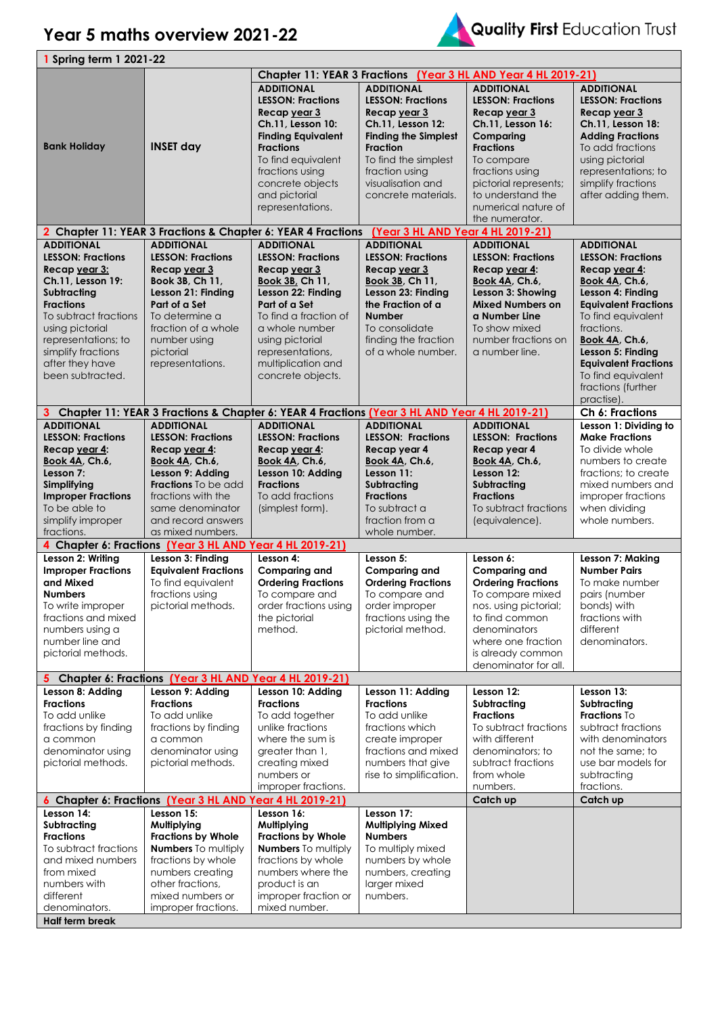## **Year 5 maths overview 2021-22**



|                                      | <b>1 Spring term 1 2021-22</b>                           |                                                                                                |                                       |                                                                |                             |  |  |
|--------------------------------------|----------------------------------------------------------|------------------------------------------------------------------------------------------------|---------------------------------------|----------------------------------------------------------------|-----------------------------|--|--|
|                                      |                                                          |                                                                                                |                                       | Chapter 11: YEAR 3 Fractions (Year 3 HL AND Year 4 HL 2019-21) |                             |  |  |
|                                      |                                                          | <b>ADDITIONAL</b>                                                                              | <b>ADDITIONAL</b>                     | <b>ADDITIONAL</b>                                              | <b>ADDITIONAL</b>           |  |  |
|                                      |                                                          | <b>LESSON: Fractions</b>                                                                       | <b>LESSON: Fractions</b>              | <b>LESSON: Fractions</b>                                       | <b>LESSON: Fractions</b>    |  |  |
|                                      |                                                          | Recap year 3                                                                                   | Recap year 3                          | Recap year 3                                                   | Recap year 3                |  |  |
|                                      |                                                          | Ch.11, Lesson 10:                                                                              | Ch.11, Lesson 12:                     | Ch.11, Lesson 16:                                              | Ch.11, Lesson 18:           |  |  |
|                                      |                                                          | <b>Finding Equivalent</b>                                                                      | <b>Finding the Simplest</b>           | Comparing                                                      | <b>Adding Fractions</b>     |  |  |
| <b>Bank Holiday</b>                  | <b>INSET day</b>                                         | <b>Fractions</b>                                                                               | <b>Fraction</b>                       | <b>Fractions</b>                                               | To add fractions            |  |  |
|                                      |                                                          | To find equivalent                                                                             | To find the simplest                  | To compare                                                     | using pictorial             |  |  |
|                                      |                                                          | fractions using                                                                                | fraction using                        | fractions using                                                | representations; to         |  |  |
|                                      |                                                          | concrete objects                                                                               | visualisation and                     | pictorial represents;                                          | simplify fractions          |  |  |
|                                      |                                                          | and pictorial                                                                                  | concrete materials.                   | to understand the                                              | after adding them.          |  |  |
|                                      |                                                          | representations.                                                                               |                                       | numerical nature of                                            |                             |  |  |
|                                      |                                                          |                                                                                                |                                       |                                                                |                             |  |  |
|                                      |                                                          |                                                                                                |                                       | the numerator.                                                 |                             |  |  |
|                                      |                                                          | 2 Chapter 11: YEAR 3 Fractions & Chapter 6: YEAR 4 Fractions                                   | (Year 3 HL AND Year 4 HL 2019-21)     |                                                                |                             |  |  |
| <b>ADDITIONAL</b>                    | <b>ADDITIONAL</b>                                        | <b>ADDITIONAL</b>                                                                              | <b>ADDITIONAL</b>                     | <b>ADDITIONAL</b>                                              | <b>ADDITIONAL</b>           |  |  |
| <b>LESSON: Fractions</b>             | <b>LESSON: Fractions</b>                                 | <b>LESSON: Fractions</b>                                                                       | <b>LESSON: Fractions</b>              | <b>LESSON: Fractions</b>                                       | <b>LESSON: Fractions</b>    |  |  |
| Recap year 3:                        | Recap year 3                                             | Recap year 3                                                                                   | Recap year 3                          | Recap year 4:                                                  | Recap year 4:               |  |  |
| Ch.11, Lesson 19:                    | Book 3B, Ch 11,                                          | <b>Book 3B, Ch 11,</b>                                                                         | Book 3B, Ch 11,                       | Book 4A, Ch.6,                                                 | Book 4A, Ch.6,              |  |  |
| Subtracting                          | Lesson 21: Finding                                       | Lesson 22: Finding                                                                             | Lesson 23: Findina                    | Lesson 3: Showing                                              | Lesson 4: Findina           |  |  |
| <b>Fractions</b>                     | Part of a Set                                            | Part of a Set                                                                                  | the Fraction of a                     | <b>Mixed Numbers on</b>                                        | <b>Equivalent Fractions</b> |  |  |
| To subtract fractions                | To determine a                                           | To find a fraction of                                                                          | <b>Number</b>                         | a Number Line                                                  | To find equivalent          |  |  |
| using pictorial                      | fraction of a whole                                      | a whole number                                                                                 | To consolidate                        | To show mixed                                                  | fractions.                  |  |  |
| representations; to                  | number using                                             | using pictorial                                                                                | finding the fraction                  | number fractions on                                            | <b>Book 4A, Ch.6,</b>       |  |  |
| simplify fractions                   | pictorial                                                | representations,                                                                               | of a whole number.                    | a number line.                                                 | Lesson 5: Finding           |  |  |
| after they have                      | representations.                                         | multiplication and                                                                             |                                       |                                                                | <b>Equivalent Fractions</b> |  |  |
| been subtracted.                     |                                                          | concrete objects.                                                                              |                                       |                                                                | To find equivalent          |  |  |
|                                      |                                                          |                                                                                                |                                       |                                                                | fractions (further          |  |  |
|                                      |                                                          |                                                                                                |                                       |                                                                | practise).                  |  |  |
|                                      |                                                          | 3 Chapter 11: YEAR 3 Fractions & Chapter 6: YEAR 4 Fractions (Year 3 HL AND Year 4 HL 2019-21) |                                       |                                                                | Ch 6: Fractions             |  |  |
| <b>ADDITIONAL</b>                    | <b>ADDITIONAL</b>                                        | <b>ADDITIONAL</b>                                                                              | <b>ADDITIONAL</b>                     | <b>ADDITIONAL</b>                                              | Lesson 1: Dividing to       |  |  |
| <b>LESSON: Fractions</b>             | <b>LESSON: Fractions</b>                                 | <b>LESSON: Fractions</b>                                                                       | <b>LESSON: Fractions</b>              | <b>LESSON: Fractions</b>                                       | <b>Make Fractions</b>       |  |  |
|                                      |                                                          |                                                                                                |                                       |                                                                | To divide whole             |  |  |
| Recap year 4:                        | Recap year 4:                                            | Recap year 4:                                                                                  | Recap year 4                          | Recap year 4                                                   |                             |  |  |
| <b>Book 4A, Ch.6,</b>                | <b>Book 4A, Ch.6,</b>                                    | <b>Book 4A, Ch.6,</b>                                                                          | Book 4A, Ch.6,                        | Book 4A, Ch.6,                                                 | numbers to create           |  |  |
| Lesson 7:                            | Lesson 9: Adding                                         | Lesson 10: Adding                                                                              | Lesson 11:                            | Lesson 12:                                                     | fractions; to create        |  |  |
| Simplifying                          | <b>Fractions</b> To be add                               | <b>Fractions</b>                                                                               | Subtracting                           | Subtracting                                                    | mixed numbers and           |  |  |
| <b>Improper Fractions</b>            | fractions with the                                       | To add fractions                                                                               | <b>Fractions</b>                      | <b>Fractions</b>                                               | improper fractions          |  |  |
| To be able to                        | same denominator                                         | (simplest form).                                                                               | To subtract a                         | To subtract fractions                                          | when dividing               |  |  |
| simplify improper                    | and record answers                                       |                                                                                                | fraction from a                       | (equivalence).                                                 | whole numbers.              |  |  |
| fractions.                           |                                                          |                                                                                                |                                       |                                                                |                             |  |  |
|                                      | as mixed numbers.                                        |                                                                                                | whole number.                         |                                                                |                             |  |  |
|                                      | 4 Chapter 6: Fractions (Year 3 HL AND Year 4 HL 2019-21) |                                                                                                |                                       |                                                                |                             |  |  |
| Lesson 2: Writing                    | Lesson 3: Finding                                        | Lesson 4:                                                                                      | Lesson 5:                             | Lesson 6:                                                      | Lesson 7: Making            |  |  |
| <b>Improper Fractions</b>            | <b>Equivalent Fractions</b>                              | <b>Comparing and</b>                                                                           | <b>Comparing and</b>                  | <b>Comparing and</b>                                           | <b>Number Pairs</b>         |  |  |
| and Mixed                            | To find equivalent                                       | <b>Ordering Fractions</b>                                                                      | <b>Ordering Fractions</b>             | <b>Ordering Fractions</b>                                      | To make number              |  |  |
| <b>Numbers</b>                       | fractions using                                          | To compare and                                                                                 | To compare and                        | To compare mixed                                               | pairs (number               |  |  |
| To write improper                    | pictorial methods.                                       | order fractions using                                                                          | order improper                        | nos. using pictorial;                                          | bonds) with                 |  |  |
| fractions and mixed                  |                                                          | the pictorial                                                                                  | fractions using the                   | to find common                                                 | fractions with              |  |  |
| numbers using a                      |                                                          | method.                                                                                        | pictorial method.                     | denominators                                                   | different                   |  |  |
| number line and                      |                                                          |                                                                                                |                                       | where one fraction                                             | denominators.               |  |  |
| pictorial methods.                   |                                                          |                                                                                                |                                       | is already common                                              |                             |  |  |
|                                      |                                                          |                                                                                                |                                       | denominator for all.                                           |                             |  |  |
|                                      |                                                          |                                                                                                |                                       |                                                                |                             |  |  |
|                                      | 5 Chapter 6: Fractions (Year 3 HL AND Year 4 HL 2019-21) |                                                                                                |                                       | Lesson 12:                                                     | Lesson 13:                  |  |  |
| Lesson 8: Adding<br><b>Fractions</b> | Lesson 9: Adding<br><b>Fractions</b>                     | Lesson 10: Adding<br><b>Fractions</b>                                                          | Lesson 11: Adding<br><b>Fractions</b> |                                                                |                             |  |  |
| To add unlike                        | To add unlike                                            |                                                                                                |                                       | Subtracting<br><b>Fractions</b>                                | Subtracting                 |  |  |
|                                      |                                                          | To add together                                                                                | To add unlike                         |                                                                | Fractions To                |  |  |
| fractions by finding                 | fractions by finding                                     | unlike fractions                                                                               | fractions which                       | To subtract fractions                                          | subtract fractions          |  |  |
| a common                             | a common                                                 | where the sum is                                                                               | create improper                       | with different                                                 | with denominators           |  |  |
| denominator using                    | denominator using                                        | greater than 1,                                                                                | fractions and mixed                   | denominators: to                                               | not the same: to            |  |  |
| pictorial methods.                   | pictorial methods.                                       | creating mixed                                                                                 | numbers that give                     | subtract fractions                                             | use bar models for          |  |  |
|                                      |                                                          | numbers or                                                                                     | rise to simplification.               | from whole                                                     | subtracting                 |  |  |
|                                      |                                                          | improper fractions.                                                                            |                                       | numbers.                                                       | fractions.                  |  |  |
|                                      | 6 Chapter 6: Fractions (Year 3 HL AND Year 4 HL 2019-21) |                                                                                                |                                       | Catch up                                                       | Catch up                    |  |  |
| Lesson 14:                           | Lesson 15:                                               | Lesson 16:                                                                                     | Lesson 17:                            |                                                                |                             |  |  |
| Subtracting                          | Multiplying                                              | Multiplying                                                                                    | <b>Multiplying Mixed</b>              |                                                                |                             |  |  |
| <b>Fractions</b>                     | <b>Fractions by Whole</b>                                | <b>Fractions by Whole</b>                                                                      | <b>Numbers</b>                        |                                                                |                             |  |  |
| To subtract fractions                | <b>Numbers</b> To multiply                               | <b>Numbers</b> To multiply                                                                     | To multiply mixed                     |                                                                |                             |  |  |
| and mixed numbers                    | fractions by whole                                       | fractions by whole                                                                             | numbers by whole                      |                                                                |                             |  |  |
| from mixed                           | numbers creating                                         | numbers where the                                                                              | numbers, creating                     |                                                                |                             |  |  |
| numbers with                         | other fractions,                                         | product is an                                                                                  | larger mixed                          |                                                                |                             |  |  |
| different                            | mixed numbers or                                         | improper fraction or                                                                           | numbers.                              |                                                                |                             |  |  |
| denominators.<br>Half term break     | improper fractions.                                      | mixed number.                                                                                  |                                       |                                                                |                             |  |  |